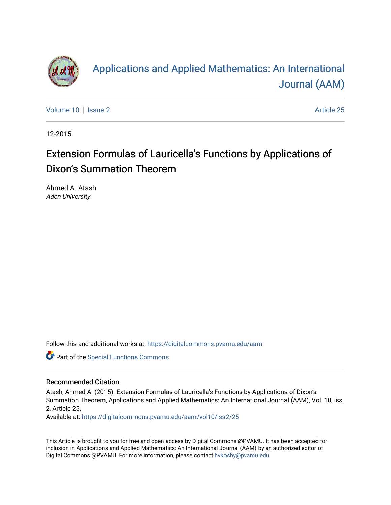

# [Applications and Applied Mathematics: An International](https://digitalcommons.pvamu.edu/aam)  [Journal \(AAM\)](https://digitalcommons.pvamu.edu/aam)

[Volume 10](https://digitalcommons.pvamu.edu/aam/vol10) | [Issue 2](https://digitalcommons.pvamu.edu/aam/vol10/iss2) Article 25

12-2015

## Extension Formulas of Lauricella's Functions by Applications of Dixon's Summation Theorem

Ahmed A. Atash Aden University

Follow this and additional works at: [https://digitalcommons.pvamu.edu/aam](https://digitalcommons.pvamu.edu/aam?utm_source=digitalcommons.pvamu.edu%2Faam%2Fvol10%2Fiss2%2F25&utm_medium=PDF&utm_campaign=PDFCoverPages) 

Part of the [Special Functions Commons](http://network.bepress.com/hgg/discipline/1368?utm_source=digitalcommons.pvamu.edu%2Faam%2Fvol10%2Fiss2%2F25&utm_medium=PDF&utm_campaign=PDFCoverPages)

#### Recommended Citation

Atash, Ahmed A. (2015). Extension Formulas of Lauricella's Functions by Applications of Dixon's Summation Theorem, Applications and Applied Mathematics: An International Journal (AAM), Vol. 10, Iss. 2, Article 25.

Available at: [https://digitalcommons.pvamu.edu/aam/vol10/iss2/25](https://digitalcommons.pvamu.edu/aam/vol10/iss2/25?utm_source=digitalcommons.pvamu.edu%2Faam%2Fvol10%2Fiss2%2F25&utm_medium=PDF&utm_campaign=PDFCoverPages)

This Article is brought to you for free and open access by Digital Commons @PVAMU. It has been accepted for inclusion in Applications and Applied Mathematics: An International Journal (AAM) by an authorized editor of Digital Commons @PVAMU. For more information, please contact [hvkoshy@pvamu.edu.](mailto:hvkoshy@pvamu.edu)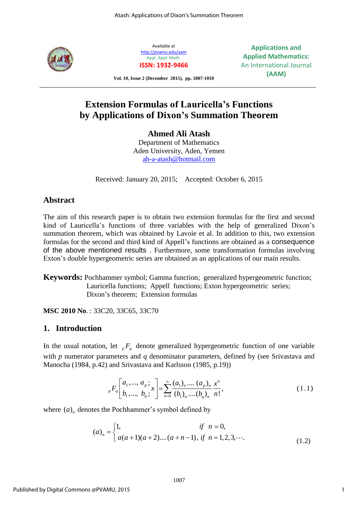

Available at <http://pvamu.edu/aam> Appl. Appl. Math. **ISSN: 1932-9466**

**Applications and Applied Mathematics:**  An International Journal **(AAM)**

**Vol. 10, Issue 2 (December 2015), pp. 1007-1018**

## **Extension Formulas of Lauricella's Functions by Applications of Dixon's Summation Theorem**

**Ahmed Ali Atash** 

Department of Mathematics Aden University, Aden, Yemen [ah-a-atash@hotmail.com](mailto:ah-a-atash@hotmail.com)

Received: January 20, 2015; Accepted: October 6, 2015

## **Abstract**

The aim of this research paper is to obtain two extension formulas for the first and second kind of Lauricella's functions of three variables with the help of generalized Dixon's summation theorem, which was obtained by Lavoie et al. In addition to this, two extension formulas for the second and third kind of Appell's functions are obtained as a consequence of the above mentioned results . Furthermore, some transformation formulas involving Exton's double hypergeometric series are obtained as an applications of our main results.

## **Keywords:** Pochhammer symbol; Gamma function; generalized hypergeometric function; Lauricella functions; Appell functions; Exton hypergeometric series; Dixon's theorem; Extension formulas

**MSC 2010 No**. : 33C20, 33C65, 33C70

## **1. Introduction**

In the usual notation, let  ${}_{p}F_{q}$  denote generalized hypergeometric function of one variable with *p* numerator parameters and *q* denominator parameters, defined by (see Srivastava and Manocha (1984, p.42) and Srivastava and Karlsson (1985, p.19))

$$
{}_{p}F_{q}\left[\begin{matrix}a_{1},..., a_{p}; \\ b_{1},..., b_{q}; \end{matrix}\right] = \sum_{n=0}^{\infty} \frac{(a_{1})_{n} .... (a_{p})_{n}}{(b_{1})_{n} .... (b_{q})_{n}} \frac{x^{n}}{n!},
$$
\n(1.1)

where 
$$
(a)_n
$$
 denotes the Pochhammer's symbol defined by  
\n
$$
(a)_n = \begin{cases} 1, & \text{if } n = 0, \\ a(a+1)(a+2)...(a+n-1), & \text{if } n = 1,2,3,... \end{cases}
$$
\n(1.2)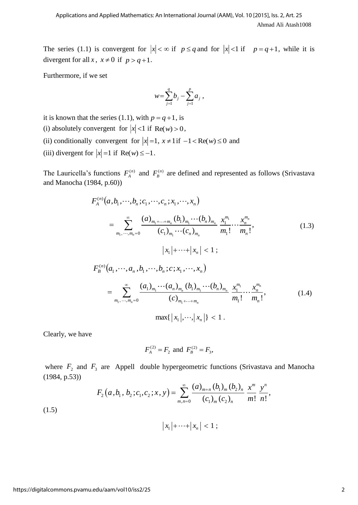The series (1.1) is convergent for  $|x| < \infty$  if  $p \leq q$  and for  $|x| < 1$  if  $p = q + 1$ , while it is divergent for all x,  $x \neq 0$  if  $p > q+1$ .

Furthermore, if we set

$$
w = \sum_{j=1}^{q} b_j - \sum_{j=1}^{p} a_j ,
$$

it is known that the series (1.1), with  $p = q + 1$ , is

- (i) absolutely convergent for  $|x| < 1$  if  $\text{Re}(w) > 0$ ,
- (ii) conditionally convergent for  $|x|=1$ ,  $x \ne 1$  if  $-1 < \text{Re}(w) \le 0$  and
- (iii) divergent for  $|x| = 1$  if  $\text{Re}(w) \le -1$ .

The Lauricella's functions  $F_A^{(n)}$  and  $F_B^{(n)}$  are defined and represented as follows (Srivastava and Manocha (1984, p.60))

$$
F_A^{(n)}(a, b_1, \dots, b_n; c_1, \dots, c_n; x_1, \dots, x_n)
$$
\n
$$
= \sum_{m_1, \dots, m_n=0}^{\infty} \frac{(a)_{m_1 + \dots + m_n} (b_1)_{m_1} \dots (b_n)_{m_n}}{(c_1)_{m_1} \dots (c_n)_{m_n}} \frac{x_1^{m_1}}{m_1!} \dots \frac{x_n^{m_n}}{m_n!},
$$
\n
$$
|x_1| + \dots + |x_n| < 1;
$$
\n
$$
F_B^{(n)}(a_1, \dots, a_n, b_1, \dots, b_n; c; x_1, \dots, x_n)
$$
\n
$$
= \sum_{m_1, \dots, m_n=0}^{\infty} \frac{(a_1)_{m_1} \dots (a_n)_{m_n} (b_1)_{m_1} \dots (b_n)_{m_n}}{(c)_{m_1 + \dots + m_n}} \frac{x_1^{m_1}}{m_1!} \dots \frac{x_n^{m_n}}{m_n!},
$$
\n
$$
\max\{|x_1|, \dots, |x_n|\} < 1.
$$
\n(1.4)

Clearly, we have

$$
F_A^{(2)} = F_2
$$
 and  $F_B^{(2)} = F_3$ ,

where *F*<sub>2</sub> and *F*<sub>3</sub> are Appell double hypergeometric functions (Srivastava and Manocha (1984, p.53))<br>  $F_2(a, b_1, b_2; c_1, c_2; x, y) = \sum_{n=0}^{\infty} \frac{(a)_{m+n} (b_1)_m (b_2)_n}{(c_1) (c_2)} \frac{x^m}{m!} \frac{y^n}{n!}$ (1984, p.53))  $\sum_{n=1}^{m}$ 

$$
F_2(a,b_1,b_2;c_1,c_2;x,y) = \sum_{m,n=0}^{\infty} \frac{(a)_{m+n}(b_1)_m(b_2)_n}{(c_1)_m(c_2)_n} \frac{x^m}{m!} \frac{y^n}{n!},
$$

(1.5)

$$
|x_1|+\cdots+|x_n|<1;
$$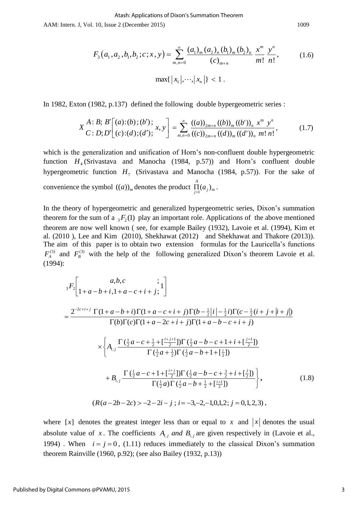AAM: Intern. J, Vol. 10, Issue 2 (December 2015) 1009

$$
F_3(a_1, a_2, b_1, b_2; c; x, y) = \sum_{m,n=0}^{\infty} \frac{(a_1)_m (a_2)_n (b_1)_m (b_2)_n}{(c)_{m+n}} \frac{x^m}{m!} \frac{y^n}{n!},
$$
(1.6)  

$$
\max\{|x_1|, \dots, |x_n|\} < 1.
$$

In 1982, Exton (1982, p.137) defined the following double hypergeometric series :

$$
X\frac{A:B; B'[a):(b); (b');}{C:D; D'_{\lfloor}(c):(d); (d');} x, y\bigg] = \sum_{m,n=0}^{\infty} \frac{((a))_{2m+n}((b))_m ((b'))_n x^m y^n}{((c))_{2m+n} ((d))_m ((d'))_n m! n!}, \qquad (1.7)
$$

which is the generalization and unification of Horn's non-confluent double hypergeometric function  $H_4$ (Srivastava and Manocha (1984, p.57)) and Horn's confluent double hypergeometric function  $H_7$  (Srivastava and Manocha (1984, p.57)). For the sake of convenience the symbol  $((a))_m$  denotes the product  $\prod_{i=1}^m (a_i)_m$ *A*  $\prod_{j=1} (a_j)_{m}$ .

In the theory of hypergeometric and generalized hypergeometric series, Dixon's summation theorem for the sum of a  ${}_{3}F_{2}(1)$  play an important role. Applications of the above mentioned theorem are now well known ( see, for example Bailey (1932), Lavoie et al. (1994), Kim et al. (2010 ), Lee and Kim (2010), Shekhawat (2012) and Shekhawat and Thakore (2013)). The aim of this paper is to obtain two extension formulas for the Lauricella's functions  $F_A^{(3)}$  and  $F_B^{(3)}$  with the help of the following generalized Dixon's theorem Lavoie et al. (1994):

$$
{}_{3}F_{2}\left[1+a-b+i,1+a-c+i+j;1\right]
$$
\n
$$
=\frac{2^{-2c+i+j}\Gamma(1+a-b+i)\Gamma(1+a-c+i+j)\Gamma(b-\frac{1}{2}|i|-\frac{1}{2}i)\Gamma(c-\frac{1}{2}(i+j+|i+j|))}{\Gamma(b)\Gamma(c)\Gamma(1+a-2c+i+j)\Gamma(1+a-b-c+i+j)}
$$
\n
$$
\times\left\{A_{i,j}\frac{\Gamma(\frac{1}{2}a-c+\frac{1}{2}+[\frac{i+j+1}{2}])\Gamma(\frac{1}{2}a-b-c+1+i+[\frac{j+1}{2}])}{\Gamma(\frac{1}{2}a+\frac{1}{2})\Gamma(\frac{1}{2}a-b+1+[\frac{i}{2}])}\right\}
$$
\n
$$
+B_{i,j}\frac{\Gamma(\frac{1}{2}a-c+1+[\frac{i+j}{2}])\Gamma(\frac{1}{2}a-b-c+\frac{3}{2}+i+[\frac{j}{2}])}{\Gamma(\frac{1}{2}a)\Gamma(\frac{1}{2}a-b+\frac{1}{2}+[\frac{i+1}{2}])}\right\},
$$
\n
$$
(1.8)
$$
\n
$$
(R(a-2b-2c) > -2-2i-j; i=-3,-2,-1,0,1,2; j=0,1,2,3),
$$

where [x] denotes the greatest integer less than or equal to x and  $|x|$  denotes the usual absolute value of x. The coefficients  $A_{i,j}$  *and*  $B_{i,j}$  are given respectively in (Lavoie et al., 1994) When  $i = j = 0$ , (1.11) reduces immediately to the classical Dixon's summation theorem Rainville (1960, p.92); (see also Bailey (1932, p.13))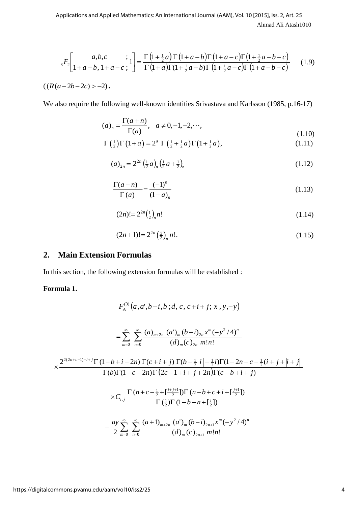Ahmad Ali Atash1010 Applications and Applied Mathematics: An International Journal (AAM), Vol. 10 [2015], Iss. 2, Art. 25

Applications and Applied Mathematics: An International Journal (AAM), Vol. 10 [2015], Iss. 2, Art. 25

\nAhmad Ali Atash1010

\n
$$
{}_{3}F_{2}\left[\begin{array}{cc} a,b,c \\ 1+a-b,1+a-c \end{array}; 1\right] = \frac{\Gamma\left(1+\frac{1}{2}a\right)\Gamma\left(1+a-b\right)\Gamma\left(1+a-c\right)\Gamma\left(1+\frac{1}{2}a-b-c\right)}{\Gamma\left(1+a\right)\Gamma(1+\frac{1}{2}a-b)\Gamma\left(1+\frac{1}{2}a-c\right)\Gamma\left(1+a-b-c\right)}\tag{1.9}
$$

 $((R(a-2b-2c) > -2)$ .

We also require the following well-known identities Srivastava and Karlsson (1985, p.16-17)

$$
(a)_n = \frac{\Gamma(a+n)}{\Gamma(a)}, \quad a \neq 0, -1, -2, \cdots,
$$
  

$$
\Gamma(\frac{1}{2})\Gamma(1+a) = 2^a \Gamma(\frac{1}{2} + \frac{1}{2}a)\Gamma(1+\frac{1}{2}a),
$$
 (1.10)

$$
\Gamma(a) \tag{1.10}
$$
\n
$$
\Gamma\left(\frac{1}{2}\right)\Gamma\left(1+a\right) = 2^a \Gamma\left(\frac{1}{2} + \frac{1}{2}a\right)\Gamma\left(1+\frac{1}{2}a\right), \tag{1.11}
$$

$$
(a)_{2n} = 2^{2n} \left(\frac{1}{2}a\right)_n \left(\frac{1}{2}a + \frac{1}{2}\right)_n \tag{1.12}
$$

$$
\frac{\Gamma(a-n)}{\Gamma(a)} = \frac{(-1)^n}{(1-a)_n}
$$
\n(1.13)

$$
(2n)! = 2^{2n} \left(\frac{1}{2}\right)_n n! \tag{1.14}
$$

$$
(2n+1)! = 2^{2n} \left(\frac{3}{2}\right)_n n!.
$$
\n(1.15)

## **2. Main Extension Formulas**

In this section, the following extension formulas will be established :

### **Formula 1.**

$$
F_A^{(3)}(a, a', b-i, b; d, c, c+i+j; x, y, -y)
$$

$$
= \sum_{m=0}^{\infty} \sum_{n=0}^{\infty} \frac{(a)_{m+2n} (a')_m (b-i)_{2n} x^m (-y^2/4)^n}{(d)_m (c)_{2n} m! n!}
$$

$$
\times \frac{2^{2(2n+c-1)+i+j}\Gamma(1-b+i-2n)\Gamma(c+i+j)\Gamma(b-\frac{1}{2}|i|-\frac{1}{2}i)\Gamma(1-2n-c-\frac{1}{2}(i+j+|i+j|-\frac{1}{2}i))}{\Gamma(b)\Gamma(1-c-2n)\Gamma(2c-1+i+j+2n)\Gamma(c-b+i+j)}
$$

$$
\times C_{i,j} \frac{\Gamma(n+c-\frac{1}{2}+[\frac{i+j+1}{2}])\Gamma(n-b+c+i+[\frac{j+1}{2}])}{\Gamma(\frac{1}{2})\Gamma(1-b-n+[\frac{i}{2}])}
$$

$$
-\frac{ay}{2}\sum_{m=0}^{\infty}\sum_{n=0}^{\infty}\frac{(a+1)_{m+2n}(a')_{m}(b-i)_{2n+1}x^{m}(-y^{2}/4)^{n}}{(d)_{m}(c)_{2n+1}m!n!}
$$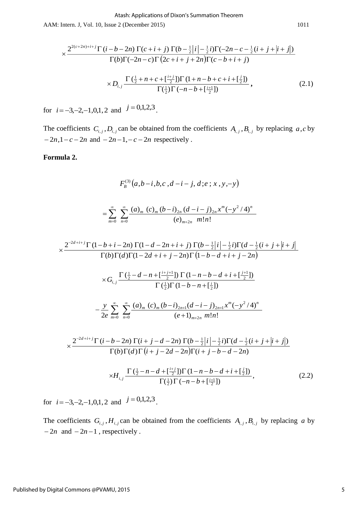AAM: Intern. J, Vol. 10, Issue 2 (December 2015) 1011

$$
\times \frac{2^{2(c+2n)+i+j}\Gamma(i-b-2n)\Gamma(c+i+j)\Gamma(b-\frac{1}{2}|i|-\frac{1}{2}i)\Gamma(-2n-c-\frac{1}{2}(i+j+|i+j|))}{\Gamma(b)\Gamma(-2n-c)\Gamma(2c+i+j+2n)\Gamma(c-b+i+j)} \times D_{i,j} \frac{\Gamma(\frac{1}{2}+n+c+\frac{i+j}{2}])\Gamma(1+n-b+c+i+\frac{j}{2}])}{\Gamma(\frac{1}{2})\Gamma(-n-b+\frac{1}{2}i)} , \qquad (2.1)
$$

for  $i = -3, -2, -1, 0, 1, 2$  and  $j = 0, 1, 2, 3$ .

The coefficients  $C_{i,j}$ ,  $D_{i,j}$  can be obtained from the coefficients  $A_{i,j}$ ,  $B_{i,j}$  by replacing  $a, c$  by  $-2n$ ,  $1-c-2n$  and  $-2n-1$ ,  $-c-2n$  respectively.

#### **Formula 2.**

$$
F_B^{(3)}(a,b-i,b,c,d-i-j,d;e;x,y,-y)
$$
\n
$$
= \sum_{m=0}^{\infty} \sum_{n=0}^{\infty} \frac{(a)_m (c)_m (b-i)_{2n} (d-i-j)_{2n} x^m (-y^2/4)^n}{(e)_{m+2n} m!n!}
$$
\n
$$
\times \frac{2^{-2d+i+j} \Gamma(1-b+i-2n) \Gamma(1-d-2n+i+j) \Gamma(b-\frac{1}{2}|i|-\frac{1}{2}i) \Gamma(d-\frac{1}{2}(i+j+i+j-1))}{\Gamma(b) \Gamma(d) \Gamma(1-2d+i+j-2n) \Gamma(1-b-d+i+j-2n)}
$$
\n
$$
\times G_{i,j} \frac{\Gamma(\frac{1}{2}-d-n+\frac{1+i+1}{2}) \Gamma(1-n-b-d+i+\frac{1+i+1}{2})}{\Gamma(\frac{1}{2}) \Gamma(1-b-n+\frac{1}{2})}
$$
\n
$$
- \frac{y}{2e} \sum_{m=0}^{\infty} \sum_{n=0}^{\infty} \frac{(a)_m (c)_m (b-i)_{2n+1} (d-i-j)_{2n+1} x^m (-y^2/4)^n}{(e+1)_{m+2n} m!n!}
$$
\n
$$
\times \frac{2^{-2d+i+j} \Gamma(i-b-2n) \Gamma(i+j-d-2n) \Gamma(b-\frac{1}{2}|i|-\frac{1}{2}i) \Gamma(d-\frac{1}{2}(i+j+|i+j|))}{\Gamma(b) \Gamma(d) \Gamma(i+j-2d-2n) \Gamma(i+j-b-d-2n)}
$$
\n
$$
\times H_{i,j} \frac{\Gamma(\frac{1}{2}-n-d+\frac{1+i+1}{2}) \Gamma(1-n-b-d+i+\frac{1}{2})}{\Gamma(\frac{1}{2}) \Gamma(-n-b+\frac{1+i+1}{2})}
$$
\n
$$
\therefore 0.123
$$
\n(2.2)

for  $i = -3, -2, -1, 0, 1, 2$  and  $j = 0, 1, 2, 3$ .

The coefficients  $G_{i,j}$ ,  $H_{i,j}$  can be obtained from the coefficients  $A_{i,j}$ ,  $B_{i,j}$  by replacing a by  $-2n$  and  $-2n-1$ , respectively.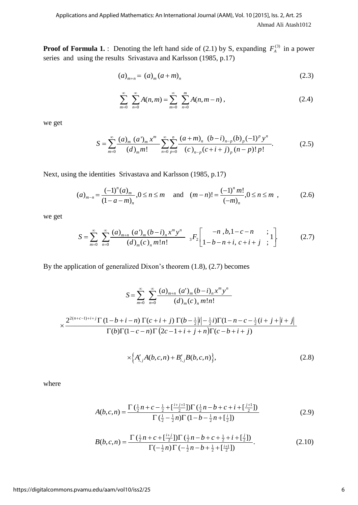**Proof of Formula 1.** : Denoting the left hand side of (2.1) by S, expanding  $F_A^{(3)}$  in a power series and using the results Srivastava and Karlsson (1985, p.17)

$$
(a)_{m+n} = (a)_m (a+m)_n \tag{2.3}
$$

$$
\sum_{m=0}^{\infty} \sum_{n=0}^{\infty} A(n,m) = \sum_{m=0}^{\infty} \sum_{n=0}^{m} A(n,m-n),
$$
 (2.4)

we get

$$
S = \sum_{m=0}^{\infty} \frac{(a)_m (a')_m x^m}{(d)_m m!} \sum_{n=0}^{\infty} \sum_{p=0}^n \frac{(a+m)_n (b-i)_{n-p} (b)_p (-1)^p y^n}{(c)_{n-p} (c+i+j)_p (n-p)! p!}.
$$
 (2.5)

Next, using the identities Srivastava and Karlsson (1985, p.17)

$$
(a)_{m-n} = \frac{(-1)^n (a)_m}{(1 - a - m)_n}, 0 \le n \le m \quad \text{and} \quad (m - n)! = \frac{(-1)^n m!}{(-m)_n}, 0 \le n \le m \quad (2.6)
$$

we get

$$
S = \sum_{m=0}^{\infty} \sum_{n=0}^{\infty} \frac{(a)_{m+n} (a')_m (b-i)_n x^m y^n}{(d)_m (c)_n m! n!} {}_3F_2 \begin{bmatrix} -n, b, 1-c-n \\ 1-b-n+i, c+i+j \end{bmatrix} .
$$
 (2.7)

By the application of generalized Dixon's theorem (1.8), (2.7) becomes

$$
S = \sum_{m=0}^{\infty} \sum_{n=0}^{\infty} \frac{(a)_{m+n} (a')_m (b-i)_n x^m y^n}{(d)_m (c)_n m! n!}
$$
  
 
$$
\times \frac{2^{2(n+c-1)+i+j} \Gamma(1-b+i-n) \Gamma(c+i+j) \Gamma(b-\frac{1}{2}|i|-\frac{1}{2}i) \Gamma(1-n-c-\frac{1}{2}(i+j+|i+j|-\frac{1}{2}i))}{\Gamma(b) \Gamma(1-c-n) \Gamma(2c-1+i+j+n) \Gamma(c-b+i+j)}
$$

$$
\times \Big\{A'_{i,j}A(b,c,n) + B'_{i,j}B(b,c,n)\Big\},\tag{2.8}
$$

where

$$
A(b,c,n) = \frac{\Gamma\left(\frac{1}{2}n+c-\frac{1}{2}+\left[\frac{i+j+1}{2}\right]\right)\Gamma\left(\frac{1}{2}n-b+c+i+\left[\frac{i+1}{2}\right]\right)}{\Gamma\left(\frac{1}{2}-\frac{1}{2}n\right)\Gamma\left(1-b-\frac{1}{2}n+\left[\frac{i}{2}\right]\right)}
$$
(2.9)

$$
I\left(\frac{1}{2} - \frac{1}{2}n\right)I\left(1 - b - \frac{1}{2}n + \left[\frac{1}{2}\right]\right)
$$
\n
$$
B(b, c, n) = \frac{\Gamma\left(\frac{1}{2}n + c + \left[\frac{i+j}{2}\right]\right)\Gamma\left(\frac{1}{2}n - b + c + \frac{1}{2} + i + \left[\frac{j}{2}\right]\right)}{\Gamma\left(-\frac{1}{2}n\right)\Gamma\left(-\frac{1}{2}n - b + \frac{1}{2} + \left[\frac{i+1}{2}\right]\right)}.
$$
\n(2.10)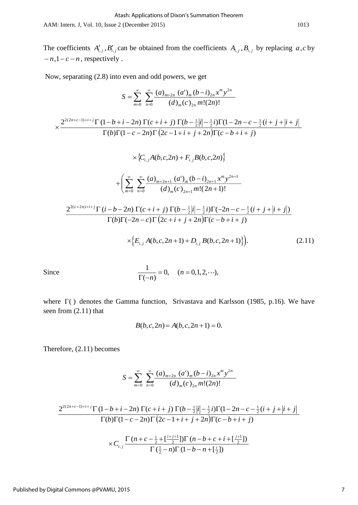The coefficients  $A'_{i,j}$ ,  $B'_{i,j}$  can be obtained from the coefficients  $A_{i,j}$ ,  $B_{i,j}$  by replacing  $a, c$  by  $-n, 1-c-n$ , respectively.

Now, separating (2.8) into even and odd powers, we get

$$
S = \sum_{m=0}^{\infty} \sum_{n=0}^{\infty} \frac{(a)_{m+2n} (a')_m (b-i)_{2n} x^m y^{2n}}{(d)_m (c)_{2n} m! (2n)!}
$$
  
\n
$$
\times \frac{2^{2(2n+c-1)+i+j} \Gamma(1-b+i-2n) \Gamma(c+i+j) \Gamma(b-\frac{1}{2}|i]-\frac{1}{2}i) \Gamma(1-2n-c-\frac{1}{2}(i+j+|i+j|))}{\Gamma(b) \Gamma(1-c-2n) \Gamma(2c-1+i+j+2n) \Gamma(c-b+i+j)}
$$
  
\n
$$
\times \{C_{i,j}A(b,c,2n)+F_{i,j}B(b,c,2n)\}
$$
  
\n
$$
+ \left(\sum_{m=0}^{\infty} \sum_{n=0}^{\infty} \frac{(a)_{m+2n+1} (a')_m (b-i)_{2n+1} x^m y^{2n+1}}{(d)_m (c)_{2n+1} m! (2n+1)!}\right)
$$
  
\n
$$
\frac{2^{2(c+2n)+i+j} \Gamma(i-b-2n) \Gamma(c+i+j) \Gamma(b-\frac{1}{2}|i]-\frac{1}{2}i) \Gamma(-2n-c-\frac{1}{2}(i+j+|i+j|))}{\Gamma(b) \Gamma(-2n-c) \Gamma(2c+i+j+2n) \Gamma(c-b+i+j)}
$$
  
\n
$$
\times \{E_{i,j}A(b,c,2n+1)+D_{i,j}B(b,c,2n+1)\}.
$$
  
\n(2.11)

$$
\frac{1}{\Gamma(-n)} = 0, \quad (n = 0, 1, 2, \cdots),
$$

where  $\Gamma$ () denotes the Gamma function, Srivastava and Karlsson (1985, p.16). We have seen from (2.11) that

$$
B(b, c, 2n) = A(b, c, 2n + 1) = 0.
$$

Therefore, (2.11) becomes

$$
S = \sum_{m=0}^{\infty} \sum_{n=0}^{\infty} \frac{(a)_{m+2n} (a')_m (b-i)_{2n} x^m y^{2n}}{(d)_m (c)_{2n} m!(2n)!}
$$

$$
\frac{2^{2(2n+c-1)+i+j}\Gamma(1-b+i-2n)\Gamma(c+i+j)\Gamma(b-\frac{1}{2}|i|-\frac{1}{2}i)\Gamma(1-2n-c-\frac{1}{2}(i+j+|i+j|-\frac{1}{2}i)\Gamma(1-c-2n)\Gamma(2c-1+i+j+2n)\Gamma(c-b+i+j)}{\Gamma(b)\Gamma(1-c-2n)\Gamma(2c-1+i+j+2n)\Gamma(c-b+i+j)}
$$

$$
\times C_{i,j} \frac{\Gamma(n+c-\frac{1}{2}+[\frac{i+j+1}{2}])\Gamma(n-b+c+i+[\frac{j+1}{2}])}{\Gamma(\frac{1}{2}-n)\Gamma(1-b-n+[\frac{i}{2}])}
$$

Since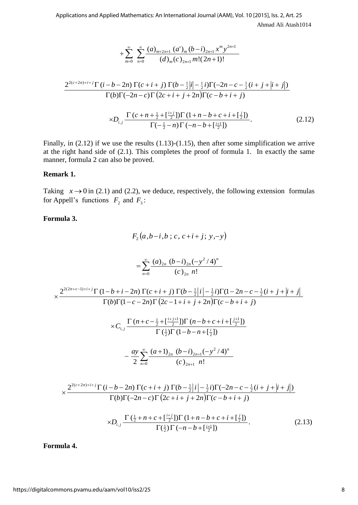Ahmad Ali Atash1014 Applications and Applied Mathematics: An International Journal (AAM), Vol. 10 [2015], Iss. 2, Art. 25

$$
+\sum_{m=0}^{\infty}\sum_{n=0}^{\infty}\frac{(a)_{m+2n+1}(a')_{m}(b-i)_{2n+1}x^{m}y^{2n+1}}{(d)_{m}(c)_{2n+1}m!(2n+1)!}
$$

$$
\frac{2^{2(c+2n)+i+j}\Gamma(i-b-2n)\Gamma(c+i+j)\Gamma(b-\frac{1}{2}|i|-\frac{1}{2}i)\Gamma(-2n-c-\frac{1}{2}(i+j+|i+j|))}{\Gamma(b)\Gamma(-2n-c)\Gamma(2c+i+j+2n)\Gamma(c-b+i+j)}\times D_{i,j}\frac{\Gamma(c+n+\frac{1}{2}+[\frac{i+j}{2}])\Gamma(1+n-b+c+i+[\frac{i}{2}])}{\Gamma(-\frac{1}{2}-n)\Gamma(-n-b+[\frac{i+1}{2}])}.
$$
(2.12)

Finally, in  $(2.12)$  if we use the results  $(1.13)-(1.15)$ , then after some simplification we arrive at the right hand side of (2.1). This completes the proof of formula 1. In exactly the same manner, formula 2 can also be proved.

#### **Remark 1.**

Taking  $x \rightarrow 0$  in (2.1) and (2.2), we deduce, respectively, the following extension formulas for Appell's functions  $F_2$  and  $F_3$ :

#### **Formula 3.**

$$
F_2(a,b-i,b;c,c+i+j; y, -y)
$$

$$
=\sum_{n=0}^{\infty}\frac{(a)_{2n}(b-i)_{2n}(-y^2/4)^n}{(c)_{2n}n!}
$$

$$
\times \frac{2^{2(2n+c-1)+i+j}\Gamma(1-b+i-2n)\Gamma(c+i+j)\Gamma(b-\frac{1}{2}|i|-\frac{1}{2}i)\Gamma(1-2n-c-\frac{1}{2}(i+j+|i+j|-\Gamma(b)\Gamma(1-c-2n)\Gamma(2c-1+i+j+2n)\Gamma(c-b+i+j)}{\Gamma(b)\Gamma(1-c-2n)\Gamma(2c-1+i+j+2n)\Gamma(c-b+i+j)}
$$

$$
\times C_{i,j} \frac{\Gamma(n+c-\frac{1}{2}+[\frac{i+j+1}{2}])\Gamma(n-b+c+i+[\frac{i+j}{2}])}{\Gamma(\frac{1}{2})\Gamma(1-b-n+[\frac{i}{2}])}
$$

$$
-\frac{ay}{2}\sum_{n=0}^{\infty}\frac{(a+1)_{2n}(b-i)_{2n+1}(-y^{2}/4)^{n}}{(c)_{2n+1}n!}
$$

$$
\times \frac{2^{2(c+2n)+i+j}\Gamma(i-b-2n)\Gamma(c+i+j)\Gamma(b-\frac{1}{2}|i|-\frac{1}{2}i)\Gamma(-2n-c-\frac{1}{2}(i+j+|i+j|))}{\Gamma(b)\Gamma(-2n-c)\Gamma(2c+i+j+2n)\Gamma(c-b+i+j)}
$$

$$
\times D_{i,j} \frac{\Gamma(\frac{1}{2}+n+c+\frac{i+j}{2}])\Gamma(1+n-b+c+i+\frac{i}{2}]}{\Gamma(\frac{1}{2})\Gamma(-n-b+\frac{i+j}{2}])}.
$$
(2.13)

**Formula 4.**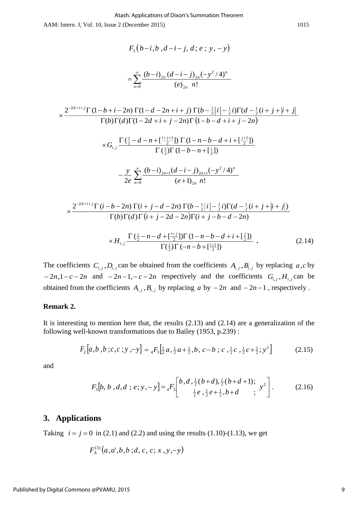$$
F_3(b-i,b, d-i-j, d; e; y, -y)
$$

$$
=\sum_{n=0}^{\infty}\frac{(b-i)_{2n}(d-i-j)_{2n}(-y^2/4)^n}{(e)_{2n} n!}
$$

$$
\times \frac{2^{-2d+i+j}\Gamma(1-b+i-2n)\Gamma(1-d-2n+i+j)\Gamma(b-\frac{1}{2}|i|-\frac{1}{2}i)\Gamma(d-\frac{1}{2}(i+j+|i+j|))}{\Gamma(b)\Gamma(d)\Gamma(1-2d+i+j-2n)\Gamma(1-b-d+i+j-2n)}
$$
  

$$
\times G_{i,j} \frac{\Gamma(\frac{1}{2}-d-n+\frac{i+j+1}{2})\Gamma(1-n-b-d+i+\frac{i+j}{2})}{\Gamma(\frac{1}{2})\Gamma(1-b-n+\frac{1}{2})}
$$
  

$$
-\frac{y}{2e} \sum_{n=0}^{\infty} \frac{(b-i)_{2n+1}(d-i-j)_{2n+1}(-y^2/4)^n}{(e+1)_{2n} n!}
$$
  

$$
\times \frac{2^{-2d+i+j}\Gamma(i-b-2n)\Gamma(i+j-d-2n)\Gamma(b-\frac{1}{2}|i|-\frac{1}{2}i)\Gamma(d-\frac{1}{2}(i+j+|i+j|))}{\Gamma(b)\Gamma(d)\Gamma(i+j-2d-2n)\Gamma(i+j-b-d-2n)}
$$
  

$$
\times H_{i,j} \frac{\Gamma(\frac{1}{2}-n-d+\frac{i+j}{2})\Gamma(1-n-b-d+i+\frac{i+j}{2}])}{\Gamma(\frac{1}{2})\Gamma(-n-b+\frac{i+j}{2}])}.
$$
 (2.14)

The coefficients  $C_{i,j}$ ,  $D_{i,j}$  can be obtained from the coefficients  $A_{i,j}$ ,  $B_{i,j}$  by replacing  $a, c$  by  $-2n, 1-c-2n$  and  $-2n-1, -c-2n$  respectively and the coefficients  $G_{i,j}$ ,  $H_{i,j}$  can be obtained from the coefficients  $A_{i,j}$ ,  $B_{i,j}$  by replacing a by  $-2n$  and  $-2n-1$ , respectively.

#### **Remark 2.**

It is interesting to mention here that, the results (2.13) and (2.14) are a generalization of the following well-known transformations due to Bailey (1953, p.239) :

$$
F_2[a, b, b; c, c; y, -y] = {}_4F_3\left[\frac{1}{2}a, \frac{1}{2}a + \frac{1}{2}, b, c - b; c, \frac{1}{2}c, \frac{1}{2}c + \frac{1}{2}; y^2\right]
$$
(2.15)

and

$$
F_3[b, b, d, d; e; y, -y] = {}_4F_3\left[\begin{array}{c}b, d, \frac{1}{2}(b+d), \frac{1}{2}(b+d+1); \\ \frac{1}{2}e, \frac{1}{2}e+\frac{1}{2}, b+d \end{array}; y^2\right].
$$
 (2.16)

## **3. Applications**

Taking  $i = j = 0$  in (2.1) and (2.2) and using the results (1.10)-(1.13), we get

$$
F^{(3)}_A\big(a,a',b,b\ ; d,\, c,\, c\,;\, x\ ,y,-y\big)
$$

9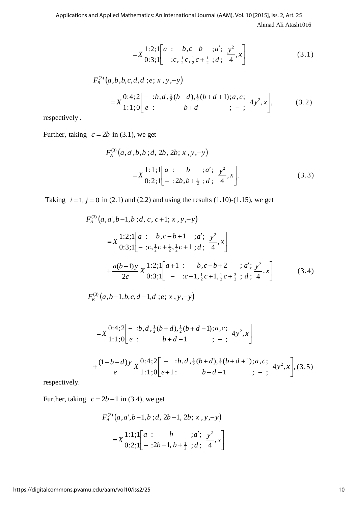Ahmad Ali Atash1016 Applications and Applied Mathematics: An International Journal (AAM), Vol. 10 [2015], Iss. 2, Art. 25

$$
=X \begin{bmatrix} 1:2;1 \begin{bmatrix} a: b,c-b; a'; y^2 \\ 0:3;1 \end{bmatrix} - :c, \frac{1}{2}c, \frac{1}{2}c + \frac{1}{2};d; \frac{1}{4}, \frac{1}{4} \end{bmatrix}
$$
(3.1)

$$
F_B^{(3)}(a,b,b,c,d,d;e;x,y,-y)
$$
  
=  $X \begin{bmatrix} 0:4;2 \\ 1:1;0 \end{bmatrix} e$ :  $(b+d, \frac{1}{2}(b+d, \frac{1}{2}(b+d+1);a,c; 4y^2,x), (3.2)$ 

respectively .

Further, taking  $c = 2b$  in (3.1), we get

$$
F_A^{(3)}(a, a', b, b; d, 2b, 2b; x, y, -y)
$$
  
=  $X \begin{bmatrix} 1:1:1 \\ 0:2:1 \end{bmatrix} \begin{bmatrix} a: b: a'; y^2 \\ -:2b, b+\frac{1}{2}:d: \end{bmatrix} \begin{bmatrix} 1:1 \\ 4 \end{bmatrix}$  (3.3)

Taking  $i = 1, j = 0$  in (2.1) and (2.2) and using the results (1.10)-(1.15), we get

$$
F_A^{(3)}(a, a', b-1, b; d, c, c+1; x, y, -y)
$$
  
=  $X \begin{bmatrix} 1:2; 1 \end{bmatrix} \begin{bmatrix} a: b, c-b+1: a'; \frac{y^2}{4}, x \end{bmatrix}$   
+  $\frac{a(b-1)y}{2c} X \begin{bmatrix} 1:2; 1 \end{bmatrix} \begin{bmatrix} a+1: b, c-b+2: a'; \frac{y^2}{4}, x \end{bmatrix}$   
+  $\frac{a(b-1)y}{2c} X \begin{bmatrix} 1:2; 1 \end{bmatrix} \begin{bmatrix} a+1: b, c-b+2: a'; \frac{y^2}{4}, x \end{bmatrix}$  (3.4)

$$
F_B^{(3)}(a, b-1, b, c, d-1, d \,; e; x, y, -y)
$$

$$
= X \begin{bmatrix} 0:4; 2 \begin{bmatrix} -:b,d, \frac{1}{2}(b+d), \frac{1}{2}(b+d-1); a,c; \\ 1:1; 0 \end{bmatrix} e : b+d-1 ; -; 4y^2, x \end{bmatrix}
$$
  
+ 
$$
\frac{(1-b-d)y}{e} X \begin{bmatrix} 0:4; 2 \begin{bmatrix} -:b,d, \frac{1}{2}(b+d), \frac{1}{2}(b+d+1); a,c; \\ 1:1; 0 \end{bmatrix} e+1 : b+d-1 ; -; 4y^2, x \end{bmatrix}, (3.5)
$$

respectively.

Further, taking  $c = 2b - 1$  in (3.4), we get

$$
F_A^{(3)}(a, a', b-1, b; d, 2b-1, 2b; x, y, -y)
$$
  
=  $X \begin{bmatrix} 1:1:1 \\ 0:2:1 \end{bmatrix} \begin{bmatrix} a: b: a'; y^2 \\ -:2b-1, b+\frac{1}{2}:d; \frac{1}{4} \end{bmatrix}$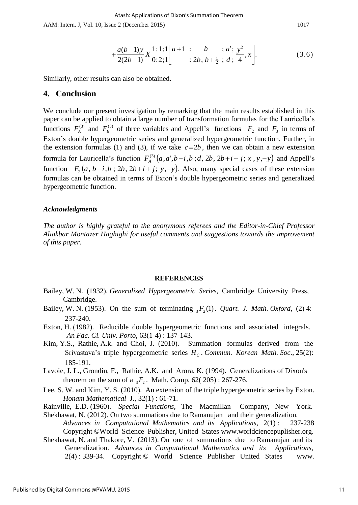AAM: Intern. J, Vol. 10, Issue 2 (December 2015) 1017

$$
+\frac{a(b-1)y}{2(2b-1)}\chi_{0:2;1}^{1:1;1}[a+1: b; a'; \frac{y^2}{4}, x].
$$
\n(3.6)

Similarly, other results can also be obtained.

#### **4. Conclusion**

We conclude our present investigation by remarking that the main results established in this paper can be applied to obtain a large number of transformation formulas for the Lauricella's functions  $F_A^{(3)}$  and  $F_B^{(3)}$  of three variables and Appell's functions  $F_2$  and  $F_3$  in terms of Exton's double hypergeometric series and generalized hypergeometric function. Further, in the extension formulas (1) and (3), if we take  $c = 2b$ , then we can obtain a new extension formula for Lauricella's function  $F_A^{(3)}(a, a', b-i, b; d, 2b, 2b+i+j; x, y, -y)$  and Appell's function  $F_2(a, b-i, b; 2b, 2b+i+j; y, -y)$ . Also, many special cases of these extension formulas can be obtained in terms of Exton's double hypergeometric series and generalized hypergeometric function.

#### *Acknowledgments*

*The author is highly grateful to the anonymous referees and the Editor-in-Chief Professor Aliakbar Montazer Haghighi for useful comments and suggestions towards the improvement of this paper.* 

#### **REFERENCES**

- Bailey, W. N. (1932). *Generalized Hypergeometric Series*, Cambridge University Press, Cambridge.
- Bailey, W. N. (1953). On the sum of terminating  ${}_{3}F_{2}(1)$ . *Quart. J. Math. Oxford*, (2) 4: 237-240.
- Exton, H. (1982). Reducible double hypergeometric functions and associated integrals*. An Fac. Ci. Univ. Porto*, 63(1-4) : 137-143.
- Kim, Y.S., Rathie, A.k. and Choi, J. (2010). Summation formulas derived from the Srivastava's triple hypergeometric series  $H_c$ . *Commun. Korean Math. Soc.*, 25(2): 185-191.
- Lavoie, J. L., Grondin, F., Rathie, A.K. and Arora, K. (1994). Generalizations of Dixon's theorem on the sum of a  ${}_{3}F_{2}$ . Math. Comp. 62( 205) : 267-276.
- Lee, S. W. and Kim, Y. S. (2010).An extension of the triple hypergeometric series by Exton. *Honam Mathematical* J., 32(1) : 61-71.
- Rainville, E.D. (1960). *Special Functions*, The Macmillan Company, New York.
- Shekhawat, N*.* (2012). On two summations due to Ramanujan and their generalization*. Advances in Computational Mathematics and its Applications,* 2(1) : 237-238 Copyright ©World Science Publisher, United States www.worldciencepuplisher.org.
- Shekhawat, N. and Thakore, V. (2013). On one of summations due to Ramanujan and its Generalization. *Advances in Computational Mathematics and its Applications,* 2(4) : 339-34. Copyright © World Science Publisher United States www.